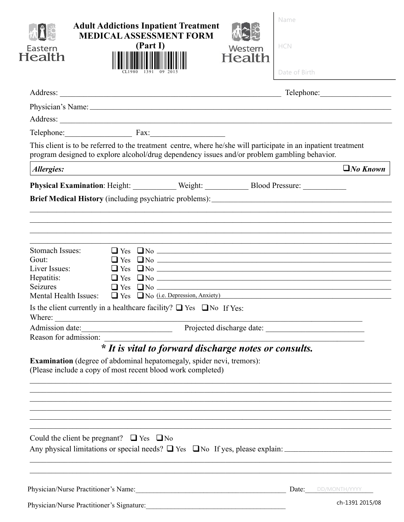|  |                                                    |                                                                                                                                                     |                                                                                                                                                                | Telephone:                                                                                                                                                                                                                                                                                                                                                                                                                                                                                                                                                                                                                                                                                                                                                                                                                                                                                                                                                            |
|--|----------------------------------------------------|-----------------------------------------------------------------------------------------------------------------------------------------------------|----------------------------------------------------------------------------------------------------------------------------------------------------------------|-----------------------------------------------------------------------------------------------------------------------------------------------------------------------------------------------------------------------------------------------------------------------------------------------------------------------------------------------------------------------------------------------------------------------------------------------------------------------------------------------------------------------------------------------------------------------------------------------------------------------------------------------------------------------------------------------------------------------------------------------------------------------------------------------------------------------------------------------------------------------------------------------------------------------------------------------------------------------|
|  |                                                    |                                                                                                                                                     |                                                                                                                                                                |                                                                                                                                                                                                                                                                                                                                                                                                                                                                                                                                                                                                                                                                                                                                                                                                                                                                                                                                                                       |
|  |                                                    |                                                                                                                                                     |                                                                                                                                                                |                                                                                                                                                                                                                                                                                                                                                                                                                                                                                                                                                                                                                                                                                                                                                                                                                                                                                                                                                                       |
|  |                                                    |                                                                                                                                                     |                                                                                                                                                                |                                                                                                                                                                                                                                                                                                                                                                                                                                                                                                                                                                                                                                                                                                                                                                                                                                                                                                                                                                       |
|  |                                                    |                                                                                                                                                     |                                                                                                                                                                |                                                                                                                                                                                                                                                                                                                                                                                                                                                                                                                                                                                                                                                                                                                                                                                                                                                                                                                                                                       |
|  |                                                    |                                                                                                                                                     |                                                                                                                                                                | $\Box$ No Known                                                                                                                                                                                                                                                                                                                                                                                                                                                                                                                                                                                                                                                                                                                                                                                                                                                                                                                                                       |
|  |                                                    |                                                                                                                                                     |                                                                                                                                                                |                                                                                                                                                                                                                                                                                                                                                                                                                                                                                                                                                                                                                                                                                                                                                                                                                                                                                                                                                                       |
|  |                                                    |                                                                                                                                                     |                                                                                                                                                                |                                                                                                                                                                                                                                                                                                                                                                                                                                                                                                                                                                                                                                                                                                                                                                                                                                                                                                                                                                       |
|  |                                                    |                                                                                                                                                     |                                                                                                                                                                |                                                                                                                                                                                                                                                                                                                                                                                                                                                                                                                                                                                                                                                                                                                                                                                                                                                                                                                                                                       |
|  |                                                    |                                                                                                                                                     |                                                                                                                                                                |                                                                                                                                                                                                                                                                                                                                                                                                                                                                                                                                                                                                                                                                                                                                                                                                                                                                                                                                                                       |
|  |                                                    |                                                                                                                                                     |                                                                                                                                                                |                                                                                                                                                                                                                                                                                                                                                                                                                                                                                                                                                                                                                                                                                                                                                                                                                                                                                                                                                                       |
|  |                                                    |                                                                                                                                                     |                                                                                                                                                                |                                                                                                                                                                                                                                                                                                                                                                                                                                                                                                                                                                                                                                                                                                                                                                                                                                                                                                                                                                       |
|  |                                                    |                                                                                                                                                     |                                                                                                                                                                |                                                                                                                                                                                                                                                                                                                                                                                                                                                                                                                                                                                                                                                                                                                                                                                                                                                                                                                                                                       |
|  |                                                    |                                                                                                                                                     |                                                                                                                                                                |                                                                                                                                                                                                                                                                                                                                                                                                                                                                                                                                                                                                                                                                                                                                                                                                                                                                                                                                                                       |
|  |                                                    |                                                                                                                                                     |                                                                                                                                                                |                                                                                                                                                                                                                                                                                                                                                                                                                                                                                                                                                                                                                                                                                                                                                                                                                                                                                                                                                                       |
|  | Could the client be pregnant? $\Box$ Yes $\Box$ No | Telephone: Fax:<br><u> 1989 - Johann John Stone, mars and de Brasilian (b. 1989)</u><br>(Please include a copy of most recent blood work completed) | Is the client currently in a healthcare facility? $\Box$ Yes $\Box$ No If Yes:<br><b>Examination</b> (degree of abdominal hepatomegaly, spider nevi, tremors): | Physician's Name: 1988. The Samuel Contract of the Samuel Contract of the Samuel Contract of the Samuel Contract of the Samuel Contract of the Samuel Contract of the Samuel Contract of the Samuel Contract of the Samuel Con<br>This client is to be referred to the treatment centre, where he/she will participate in an inpatient treatment<br>program designed to explore alcohol/drug dependency issues and/or problem gambling behavior.<br><u> 1999 - Johann Johann Stoff, deutscher Stoff, der Stoff, der Stoff, der Stoff, der Stoff, der Stoff, der Stoff</u><br>Physical Examination: Height: Weight: Weight: Blood Pressure: ___________________<br>$\Box$ Yes $\Box$ No $\Box$ No $\Box$<br>$\Box$ Yes $\Box$ No $\Box$<br>$\Box$ Yes $\Box$ No $\Box$<br>$\Box$ Yes $\Box$ No $\Box$<br>$\Box$ Yes $\Box$ No $\Box$<br>Mental Health Issues: $\Box$ Yes $\Box$ No (i.e. Depression, Anxiety)<br>* It is vital to forward discharge notes or consults. |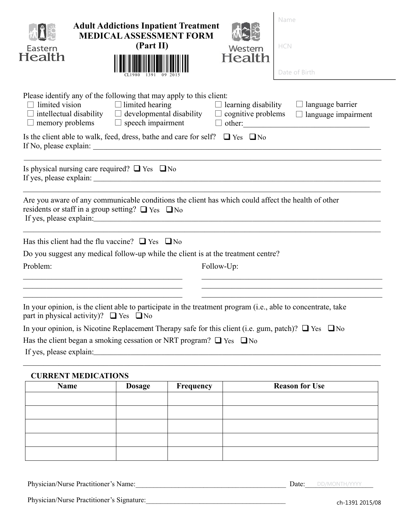| Eastern<br>Health                                |                            | <b>Adult Addictions Inpatient Treatment</b><br><b>MEDICAL ASSESSMENT FORM</b><br>(Part II) |                                                                                                                                                                 | Western<br>Health          | Name<br>HCN<br>Date of Birth                                                                                  |
|--------------------------------------------------|----------------------------|--------------------------------------------------------------------------------------------|-----------------------------------------------------------------------------------------------------------------------------------------------------------------|----------------------------|---------------------------------------------------------------------------------------------------------------|
| limited vision                                   |                            | $\Box$ limited hearing<br>memory problems $\Box$ speech impairment                         | Please identify any of the following that may apply to this client:<br>$\Box$ intellectual disability $\Box$ developmental disability $\Box$ cognitive problems | $\Box$ learning disability | $\Box$ language barrier<br>language impairment<br>$\Box$                                                      |
|                                                  |                            |                                                                                            | Is the client able to walk, feed, dress, bathe and care for self? $\Box$ Yes $\Box$ No                                                                          |                            |                                                                                                               |
|                                                  |                            | Is physical nursing care required? $\Box$ Yes $\Box$ No                                    |                                                                                                                                                                 |                            |                                                                                                               |
|                                                  |                            | residents or staff in a group setting? $\Box$ Yes $\Box$ No                                |                                                                                                                                                                 |                            | Are you aware of any communicable conditions the client has which could affect the health of other            |
|                                                  |                            | Has this client had the flu vaccine? $\Box$ Yes $\Box$ No                                  |                                                                                                                                                                 |                            |                                                                                                               |
| Problem:                                         |                            |                                                                                            | Do you suggest any medical follow-up while the client is at the treatment centre?                                                                               |                            |                                                                                                               |
|                                                  |                            |                                                                                            | Follow-Up:                                                                                                                                                      |                            |                                                                                                               |
| part in physical activity)? $\Box$ Yes $\Box$ No |                            |                                                                                            |                                                                                                                                                                 |                            | In your opinion, is the client able to participate in the treatment program (i.e., able to concentrate, take  |
|                                                  |                            |                                                                                            |                                                                                                                                                                 |                            | In your opinion, is Nicotine Replacement Therapy safe for this client (i.e. gum, patch)? $\Box$ Yes $\Box$ No |
|                                                  |                            |                                                                                            | Has the client began a smoking cessation or NRT program? $\Box$ Yes $\Box$ No                                                                                   |                            |                                                                                                               |
|                                                  |                            |                                                                                            |                                                                                                                                                                 |                            |                                                                                                               |
|                                                  | <b>CURRENT MEDICATIONS</b> |                                                                                            |                                                                                                                                                                 |                            |                                                                                                               |
| <b>Name</b>                                      |                            | <b>Dosage</b>                                                                              | Frequency                                                                                                                                                       |                            | <b>Reason for Use</b>                                                                                         |
|                                                  |                            |                                                                                            |                                                                                                                                                                 |                            |                                                                                                               |

Physician/Nurse Practitioner's Name: **Example 2018 Date: DEVINONTH/YYYYY** 

Physician/Nurse Practitioner's Signature:\_\_\_\_\_\_\_\_\_\_\_\_\_\_\_\_\_\_\_\_\_\_\_\_\_\_\_\_\_\_\_\_\_\_\_\_\_\_\_